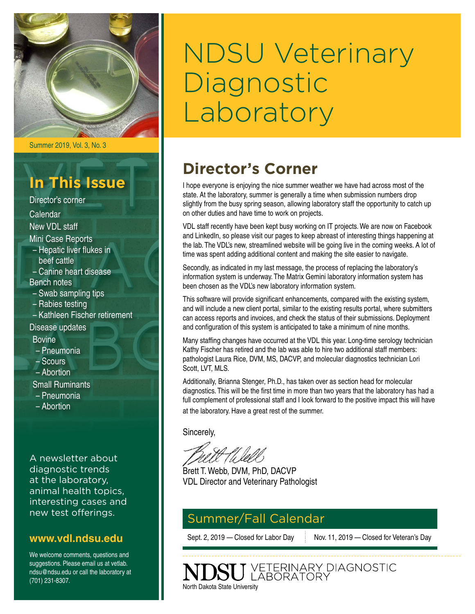

Summer 2019, Vol. 3, No. 3

## **In This Issue**

Director's corner Calendar New VDL staff Mini Case Reports – Hepatic liver flukes in beef cattle – Canine heart disease Bench notes – Swab sampling tips – Rabies testing – Kathleen Fischer retirement Disease updates Bovine – Pneumonia – Scours – Abortion Small Ruminants – Pneumonia

- 
- Abortion

A newsletter about diagnostic trends at the laboratory, animal health topics, interesting cases and new test offerings.

### **[www.vdl.ndsu.edu](file:///C:\Users\david.haasser\AppData\Local\Microsoft\Windows\Temporary%20Internet%20Files\Content.Outlook\2SAH4N2J\www.ag.ndsu.edu\ansc\)**

We welcome comments, questions and suggestions. Please email us at vetlab. ndsu@ndsu.edu or call the laboratory at (701) 231-8307.

# NDSU Veterinary Diagnostic Laboratory

## **Director's Corner**

I hope everyone is enjoying the nice summer weather we have had across most of the state. At the laboratory, summer is generally a time when submission numbers drop slightly from the busy spring season, allowing laboratory staff the opportunity to catch up on other duties and have time to work on projects.

VDL staff recently have been kept busy working on IT projects. We are now on Facebook and LinkedIn, so please visit our pages to keep abreast of interesting things happening at the lab. The VDL's new, streamlined website will be going live in the coming weeks. A lot of time was spent adding additional content and making the site easier to navigate.

Secondly, as indicated in my last message, the process of replacing the laboratory's information system is underway. The Matrix Gemini laboratory information system has been chosen as the VDL's new laboratory information system.

This software will provide significant enhancements, compared with the existing system, and will include a new client portal, similar to the existing results portal, where submitters can access reports and invoices, and check the status of their submissions. Deployment and configuration of this system is anticipated to take a minimum of nine months.

Many staffing changes have occurred at the VDL this year. Long-time serology technician Kathy Fischer has retired and the lab was able to hire two additional staff members: pathologist Laura Rice, DVM, MS, DACVP, and molecular diagnostics technician Lori Scott, LVT, MLS.

Additionally, Brianna Stenger, Ph.D., has taken over as section head for molecular diagnostics. This will be the first time in more than two years that the laboratory has had a full complement of professional staff and I look forward to the positive impact this will have at the laboratory. Have a great rest of the summer.

J VETERINARY DIAGNOSTIC<br>J LABORATORY

Sincerely,

Brett T. Webb, DVM, PhD, DACVP VDL Director and Veterinary Pathologist

### Summer/Fall Calendar

North Dakota State University

Sept. 2, 2019 — Closed for Labor Day Nov. 11, 2019 — Closed for Veteran's Day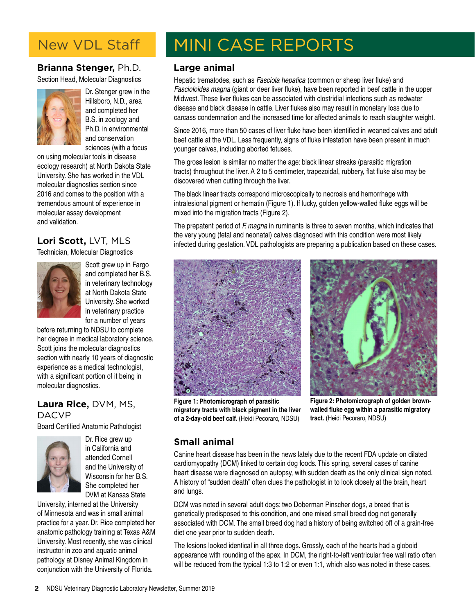### New VDL Staff

### **Brianna Stenger,** Ph.D.

Section Head, Molecular Diagnostics



Dr. Stenger grew in the Hillsboro, N.D., area and completed her B.S. in zoology and Ph.D. in environmental and conservation sciences (with a focus

on using molecular tools in disease ecology research) at North Dakota State University. She has worked in the VDL molecular diagnostics section since 2016 and comes to the position with a tremendous amount of experience in molecular assay development and validation.

### **Lori Scott,** LVT, MLS

Technician, Molecular Diagnostics



Scott grew up in Fargo and completed her B.S. in veterinary technology at North Dakota State University. She worked in veterinary practice for a number of years

before returning to NDSU to complete her degree in medical laboratory science. Scott joins the molecular diagnostics section with nearly 10 years of diagnostic experience as a medical technologist, with a significant portion of it being in molecular diagnostics.

### **Laura Rice,** DVM, MS, DACVP

Board Certified Anatomic Pathologist



Dr. Rice grew up in California and attended Cornell and the University of Wisconsin for her B.S. She completed her DVM at Kansas State

University, interned at the University of Minnesota and was in small animal practice for a year. Dr. Rice completed her anatomic pathology training at Texas A&M University. Most recently, she was clinical instructor in zoo and aquatic animal pathology at Disney Animal Kingdom in conjunction with the University of Florida.

# MINI CASE REPORTS

### **Large animal**

Hepatic trematodes, such as Fasciola hepatica (common or sheep liver fluke) and Fascioloides magna (giant or deer liver fluke), have been reported in beef cattle in the upper Midwest. These liver flukes can be associated with clostridial infections such as redwater disease and black disease in cattle. Liver flukes also may result in monetary loss due to carcass condemnation and the increased time for affected animals to reach slaughter weight.

Since 2016, more than 50 cases of liver fluke have been identified in weaned calves and adult beef cattle at the VDL. Less frequently, signs of fluke infestation have been present in much younger calves, including aborted fetuses.

The gross lesion is similar no matter the age: black linear streaks (parasitic migration tracts) throughout the liver. A 2 to 5 centimeter, trapezoidal, rubbery, flat fluke also may be discovered when cutting through the liver.

The black linear tracts correspond microscopically to necrosis and hemorrhage with intralesional pigment or hematin (Figure 1). If lucky, golden yellow-walled fluke eggs will be mixed into the migration tracts (Figure 2).

The prepatent period of F. magna in ruminants is three to seven months, which indicates that the very young (fetal and neonatal) calves diagnosed with this condition were most likely infected during gestation. VDL pathologists are preparing a publication based on these cases.





**Figure 1: Photomicrograph of parasitic migratory tracts with black pigment in the liver**  of a 2-day-old beef calf. (Heidi Pecoraro, NDSU)

**Figure 2: Photomicrograph of golden brownwalled fluke egg within a parasitic migratory tract.** (Heidi Pecoraro, NDSU)

### **Small animal**

Canine heart disease has been in the news lately due to the recent FDA update on dilated cardiomyopathy (DCM) linked to certain dog foods. This spring, several cases of canine heart disease were diagnosed on autopsy, with sudden death as the only clinical sign noted. A history of "sudden death" often clues the pathologist in to look closely at the brain, heart and lungs.

DCM was noted in several adult dogs: two Doberman Pinscher dogs, a breed that is genetically predisposed to this condition, and one mixed small breed dog not generally associated with DCM. The small breed dog had a history of being switched off of a grain-free diet one year prior to sudden death.

The lesions looked identical in all three dogs. Grossly, each of the hearts had a globoid appearance with rounding of the apex. In DCM, the right-to-left ventricular free wall ratio often will be reduced from the typical 1:3 to 1:2 or even 1:1, which also was noted in these cases.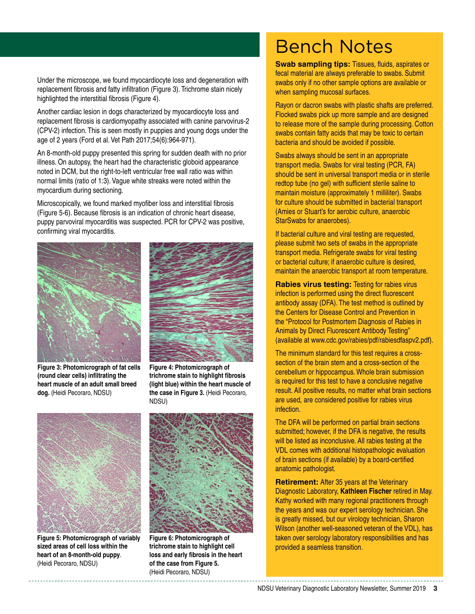Under the microscope, we found myocardiocyte loss and degeneration with replacement fibrosis and fatty infiltration (Figure 3). Trichrome stain nicely highlighted the interstitial fibrosis (Figure 4).

Another cardiac lesion in dogs characterized by myocardiocyte loss and replacement fibrosis is cardiomyopathy associated with canine parvovirus-2 (CPV-2) infection. This is seen mostly in puppies and young dogs under the age of 2 years (Ford et al. Vet Path 2017;54(6):964-971).

An 8-month-old puppy presented this spring for sudden death with no prior illness. On autopsy, the heart had the characteristic globoid appearance noted in DCM, but the right-to-left ventricular free wall ratio was within normal limits (ratio of 1:3). Vague white streaks were noted within the myocardium during sectioning.

Microscopically, we found marked myofiber loss and interstitial fibrosis (Figure 5-6). Because fibrosis is an indication of chronic heart disease, puppy parvoviral myocarditis was suspected. PCR for CPV-2 was positive, confirming viral myocarditis.





**Figure 3: Photomicrograph of fat cells (round clear cells) infiltrating the heart muscle of an adult small breed dog.** (Heidi Pecoraro, NDSU)

**Figure 4: Photomicrograph of trichrome stain to highlight fibrosis (light blue) within the heart muscle of the case in Figure 3.** (Heidi Pecoraro, NDSU)



**Figure 5: Photomicrograph of variably sized areas of cell loss within the heart of an 8-month-old puppy**. (Heidi Pecoraro, NDSU)



**Figure 6: Photomicrograph of trichrome stain to highlight cell loss and early fibrosis in the heart of the case from Figure 5.** (Heidi Pecoraro, NDSU)

# Bench Notes

**Swab sampling tips: Tissues, fluids, aspirates or** fecal material are always preferable to swabs. Submit swabs only if no other sample options are available or when sampling mucosal surfaces.

Rayon or dacron swabs with plastic shafts are preferred. Flocked swabs pick up more sample and are designed to release more of the sample during processing. Cotton swabs contain fatty acids that may be toxic to certain bacteria and should be avoided if possible.

Swabs always should be sent in an appropriate transport media. Swabs for viral testing (PCR, FA) should be sent in universal transport media or in sterile redtop tube (no gel) with sufficient sterile saline to maintain moisture (approximately 1 milliliter). Swabs for culture should be submitted in bacterial transport (Amies or Stuart's for aerobic culture, anaerobic StarSwabs for anaerobes).

If bacterial culture and viral testing are requested, please submit two sets of swabs in the appropriate transport media. Refrigerate swabs for viral testing or bacterial culture; if anaerobic culture is desired, maintain the anaerobic transport at room temperature.

**Rabies virus testing: Testing for rabies virus** infection is performed using the direct fluorescent antibody assay (DFA). The test method is outlined by the Centers for Disease Control and Prevention in the "Protocol for Postmortem Diagnosis of Rabies in Animals by Direct Fluorescent Antibody Testing" (available at www.cdc.gov/rabies/pdf/rabiesdfaspv2.pdf).

The minimum standard for this test requires a crosssection of the brain stem and a cross-section of the cerebellum or hippocampus. Whole brain submission is required for this test to have a conclusive negative result. All positive results, no matter what brain sections are used, are considered positive for rabies virus infection.

The DFA will be performed on partial brain sections submitted; however, if the DFA is negative, the results will be listed as inconclusive. All rabies testing at the VDL comes with additional histopathologic evaluation of brain sections (if available) by a board-certified anatomic pathologist.

**Retirement:** After 35 years at the Veterinary Diagnostic Laboratory, **Kathleen Fischer** retired in May. Kathy worked with many regional practitioners through the years and was our expert serology technician. She is greatly missed, but our virology technician, Sharon Wilson (another well-seasoned veteran of the VDL), has taken over serology laboratory responsibilities and has provided a seamless transition.